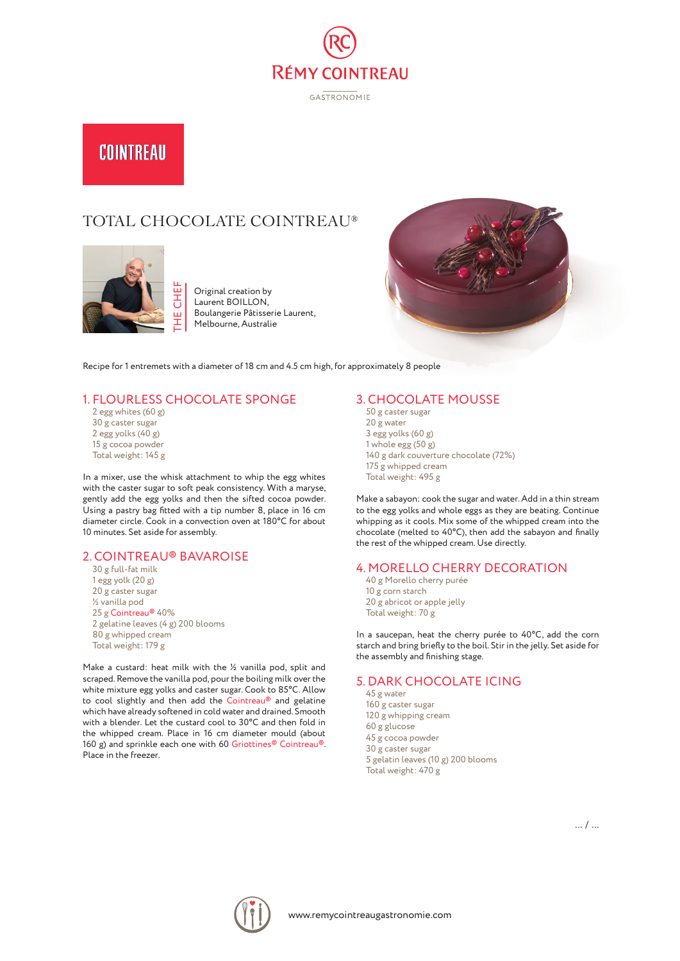

**GASTRONOMIE** 

# COINTREAU

## TOTAL CHOCOLATE COINTREAU®



Period of the United States of 18 cm and 4.5 cm high, for approximately 8 people<br>Recipe for 1 entremets with a diameter of 18 cm and 4.5 cm high, for approximately 8 people Original creation by Laurent BOILLON, Boulangerie Pâtisserie Laurent, Melbourne, Australie



### 1. FLOURLESS CHOCOLATE SPONGE

2 egg whites (60 g) 30 g caster sugar 2 egg yolks (40 g) 15 g cocoa powder Total weight: 145 g

In a mixer, use the whisk attachment to whip the egg whites with the caster sugar to soft peak consistency. With a maryse, gently add the egg yolks and then the sifted cocoa powder. Using a pastry bag fitted with a tip number 8, place in 16 cm diameter circle. Cook in a convection oven at 180°C for about 10 minutes. Set aside for assembly.

#### 2. COINTREAU® BAVAROISE

30 g full-fat milk 1 egg yolk (20 g) 20 g caster sugar ½ vanilla pod 25 g Cointreau® 40% 2 gelatine leaves (4 g) 200 blooms 80 g whipped cream Total weight: 179 g

Make a custard: heat milk with the ½ vanilla pod, split and scraped. Remove the vanilla pod, pour the boiling milk over the white mixture egg yolks and caster sugar. Cook to 85°C. Allow to cool slightly and then add the Cointreau® and gelatine which have already softened in cold water and drained. Smooth with a blender. Let the custard cool to 30°C and then fold in the whipped cream. Place in 16 cm diameter mould (about 160 g) and sprinkle each one with 60 Griottines® Cointreau®. Place in the freezer.

#### 3. CHOCOLATE MOUSSE

50 g caster sugar 20 g water 3 egg yolks (60 g) 1 whole egg (50 g) 140 g dark couverture chocolate (72%) 175 g whipped cream Total weight: 495 g

Make a sabayon: cook the sugar and water. Add in a thin stream to the egg yolks and whole eggs as they are beating. Continue whipping as it cools. Mix some of the whipped cream into the chocolate (melted to 40°C), then add the sabayon and finally the rest of the whipped cream. Use directly.

#### 4. MORELLO CHERRY DECORATION

40 g Morello cherry purée 10 g corn starch 20 g abricot or apple jelly Total weight: 70 g

In a saucepan, heat the cherry purée to 40°C, add the corn starch and bring briefly to the boil. Stir in the jelly. Set aside for the assembly and finishing stage.

#### 5. DARK CHOCOLATE ICING

45 g water 160 g caster sugar 120 g whipping cream 60 g glucose 45 g cocoa powder 30 g caster sugar 5 gelatin leaves (10 g) 200 blooms Total weight: 470 g



... / ...